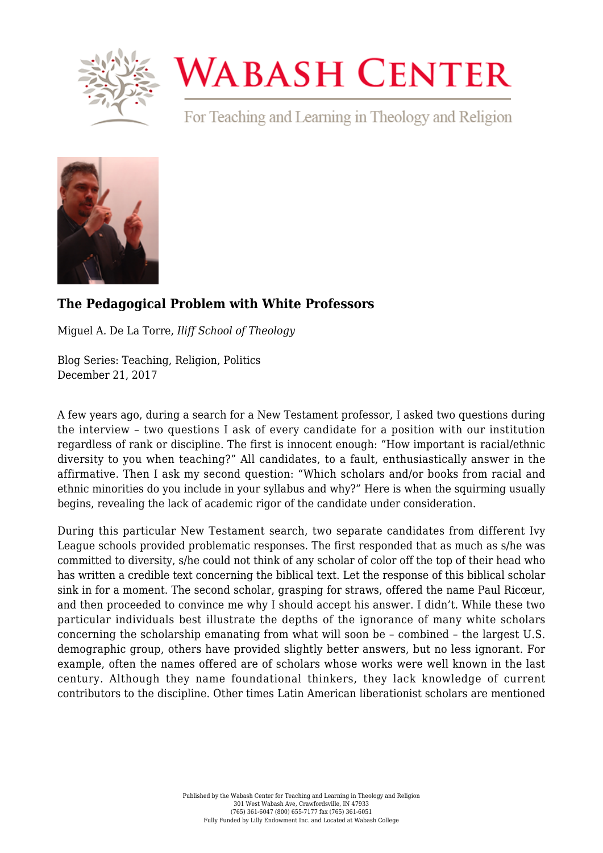

## **WABASH CENTER**

For Teaching and Learning in Theology and Religion



## **[The Pedagogical Problem with White Professors](https://www.wabashcenter.wabash.edu/2017/12/pedagogical-problem-white-professors/)**

Miguel A. De La Torre, *Iliff School of Theology*

Blog Series: Teaching, Religion, Politics December 21, 2017

A few years ago, during a search for a New Testament professor, I asked two questions during the interview – two questions I ask of every candidate for a position with our institution regardless of rank or discipline. The first is innocent enough: "How important is racial/ethnic diversity to you when teaching?" All candidates, to a fault, enthusiastically answer in the affirmative. Then I ask my second question: "Which scholars and/or books from racial and ethnic minorities do you include in your syllabus and why?" Here is when the squirming usually begins, revealing the lack of academic rigor of the candidate under consideration.

During this particular New Testament search, two separate candidates from different Ivy League schools provided problematic responses. The first responded that as much as s/he was committed to diversity, s/he could not think of any scholar of color off the top of their head who has written a credible text concerning the biblical text. Let the response of this biblical scholar sink in for a moment. The second scholar, grasping for straws, offered the name Paul Ricœur, and then proceeded to convince me why I should accept his answer. I didn't. While these two particular individuals best illustrate the depths of the ignorance of many white scholars concerning the scholarship emanating from what will soon be – combined – the largest U.S. demographic group, others have provided slightly better answers, but no less ignorant. For example, often the names offered are of scholars whose works were well known in the last century. Although they name foundational thinkers, they lack knowledge of current contributors to the discipline. Other times Latin American liberationist scholars are mentioned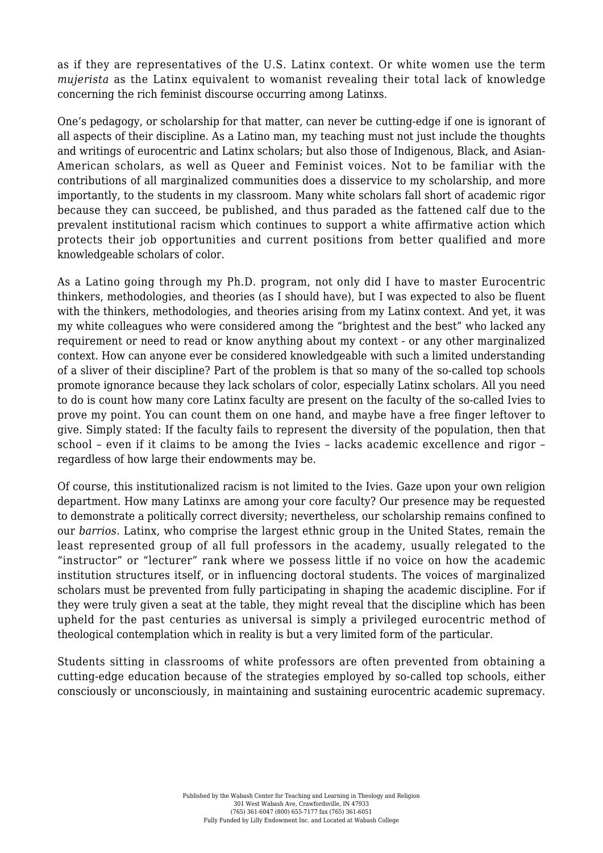as if they are representatives of the U.S. Latinx context. Or white women use the term *mujerista* as the Latinx equivalent to womanist revealing their total lack of knowledge concerning the rich feminist discourse occurring among Latinxs.

One's pedagogy, or scholarship for that matter, can never be cutting-edge if one is ignorant of all aspects of their discipline. As a Latino man, my teaching must not just include the thoughts and writings of eurocentric and Latinx scholars; but also those of Indigenous, Black, and Asian-American scholars, as well as Queer and Feminist voices. Not to be familiar with the contributions of all marginalized communities does a disservice to my scholarship, and more importantly, to the students in my classroom. Many white scholars fall short of academic rigor because they can succeed, be published, and thus paraded as the fattened calf due to the prevalent institutional racism which continues to support a white affirmative action which protects their job opportunities and current positions from better qualified and more knowledgeable scholars of color.

As a Latino going through my Ph.D. program, not only did I have to master Eurocentric thinkers, methodologies, and theories (as I should have), but I was expected to also be fluent with the thinkers, methodologies, and theories arising from my Latinx context. And yet, it was my white colleagues who were considered among the "brightest and the best" who lacked any requirement or need to read or know anything about my context - or any other marginalized context. How can anyone ever be considered knowledgeable with such a limited understanding of a sliver of their discipline? Part of the problem is that so many of the so-called top schools promote ignorance because they lack scholars of color, especially Latinx scholars. All you need to do is count how many core Latinx faculty are present on the faculty of the so-called Ivies to prove my point. You can count them on one hand, and maybe have a free finger leftover to give. Simply stated: If the faculty fails to represent the diversity of the population, then that school – even if it claims to be among the Ivies – lacks academic excellence and rigor – regardless of how large their endowments may be.

Of course, this institutionalized racism is not limited to the Ivies. Gaze upon your own religion department. How many Latinxs are among your core faculty? Our presence may be requested to demonstrate a politically correct diversity; nevertheless, our scholarship remains confined to our *barrios*. Latinx, who comprise the largest ethnic group in the United States, remain the least represented group of all full professors in the academy, usually relegated to the "instructor" or "lecturer" rank where we possess little if no voice on how the academic institution structures itself, or in influencing doctoral students. The voices of marginalized scholars must be prevented from fully participating in shaping the academic discipline. For if they were truly given a seat at the table, they might reveal that the discipline which has been upheld for the past centuries as universal is simply a privileged eurocentric method of theological contemplation which in reality is but a very limited form of the particular.

Students sitting in classrooms of white professors are often prevented from obtaining a cutting-edge education because of the strategies employed by so-called top schools, either consciously or unconsciously, in maintaining and sustaining eurocentric academic supremacy.